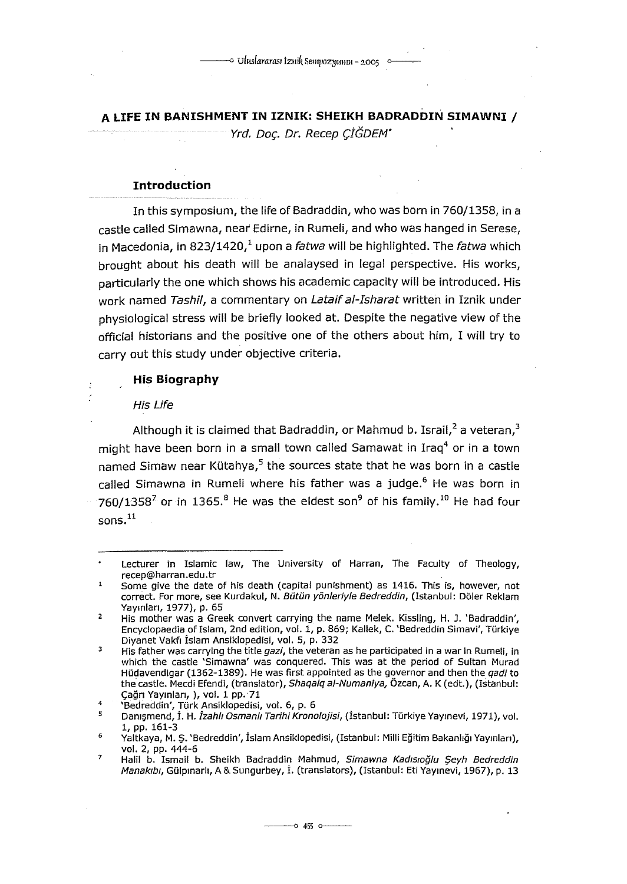**A LIFE IN BANISHMENT IN IZNIK: SHEIKH BADRADDIN SIMAWNI** /

Yrd. Doc. Dr. Recep ÇİĞDEM'

## **Introduction**

In this symposium, the life of Badraddin, who was born in 760/1358, in a castle called Simawna, near Edirne, in Rumeli, and who was hanged in Serese, in Macedonia, in 823/1420, $^1$  upon a fatwa will be highlighted. The fatwa which brought about his death will be analaysed in legal perspective. His works, particularly the one which shows his academic capacity will be introduced. His work named Tashil, a commentary on Lataif al-Isharat written in Iznik under physiological stress will be briefly looked at. Despite the negative view of the official historians and the positive one of the others about him, I will try to carry out this study under objective criteria.

# **His Biography**

#### His Life

þ

Although it is claimed that Badraddin, or Mahmud b. Israil, $^2$  a veteran.<sup>3</sup> might have been born in a small town called Samawat in Iraq<sup>4</sup> or in a town named Simaw near Kütahya, $5$  the sources state that he was born in a castle called Simawna in Rumeli where his father was a judge.<sup>6</sup> He was born in 760/1358<sup>7</sup> or in 1365.<sup>8</sup> He was the eldest son<sup>9</sup> of his family.<sup>10</sup> He had four sons.<sup>11</sup>

Lecturer in Islamic law, The University of Harran, The Faculty of Theology, recep@harran.edu.tr

 $\mathbf 1$ Some give the date of his death (capital punishment) as 1416. This is, however, not correct. For more, see Kurdakul, N. Bütün yönleriyle Bedreddin, (Istanbul: Döler Reklam Yayınları, 1977), p. 65

 $\overline{2}$ His mather was a Greek convert carrying the name Melek. Kissling, H. J. 'Badraddin', Encyclopaedia of Islam, 2nd edition, vol. 1, p. 869; Kallek, C. 'Bedreddin Simavi', Türkive Diyanet Vakfı İslam Ansiklopedisi, vol. 5, p. 332

 $\overline{\mathbf{3}}$ His father was carrying the title gazi, the veteran as he participated in a war in Rumeli, in which the castle 'Simawna' was conquered. This was at the period of Sultan Murad Hüdavendigar (1362-1389). He was first appointed as the governor and then the *qadi* to the castle. Mecdi Efendi, (translator), Shaqaiq al-Numaniya, Özcan, A. K (edt.), (Istanbul: Çağrı Yayınları, ), vol. 1 pp.·71

 $\clubsuit$ 'Bedreddin', Türk Ansiklopedisi, vol. 6, p. 6

<sup>5</sup> Danışmend, İ. H. İzahll Osmanli Tarihi Kronolojisi, (İstanbul: Türkiye Yayınevi, 1971), vol. 1, pp. 161-3

Yaltkaya, M. Ş. 'Bedreddin', İslam Ansiklopedisi, (Istanbul: Milli Eğitim Bakanlığı Yayınları), vol. 2, pp. 444-6

 $\overline{z}$ Halil b. Ismail b. Sheikh Badraddin Mahmud, Simawna Kadısıoğlu Şeyh Bedreddin Manakıbı, Gülpınarlı, A & Sungurbey, İ. (translators), (Istanbul: Eti Yayınevi, 1967), p. 13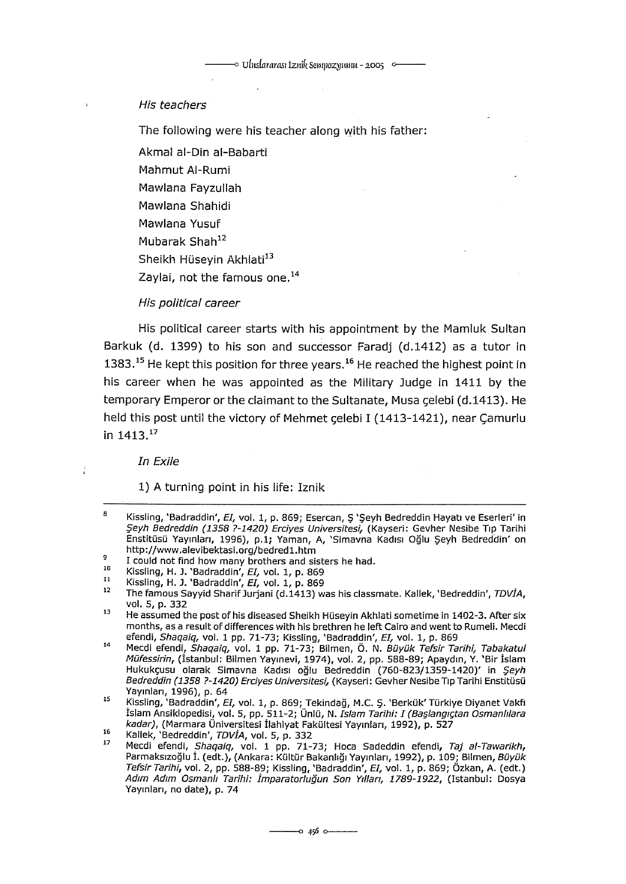### His teachers

The following were his teacher along with his father:

Akmal al-Din ai-Babarti

Mahmut Al-Rumi

Mawlana Fayzullah

Mawlana Shahidi

Mawlana Yusuf

Mubarak Shah<sup>12</sup>

Sheikh Hüseyin Akhlati<sup>13</sup>

Zaylai, not the famous one.<sup>14</sup>

## His political career

His political career starts with his appointment by the Mamluk Sultan Barkuk (d. 1399) to his son and successor Faradj (d.1412) as a tutor in  $1383.<sup>15</sup>$  He kept this position for three years.<sup>16</sup> He reached the highest point in his career when he was appointed as the Military Judge in 1411 by the temporary Emperor or the daimant to the Sultanate, Musa çelebi (d.1413). He held this post until the victory of Mehmet çelebi I (1413-1421), near Çamurlu in 1413. <sup>17</sup>

In Exile

1) A turning point in his life: Iznik

 $\mathbf{a}$ Kissling, 'Badraddin', EI, vol. 1, p. 869; Esercan, S 'Seyh Bedreddin Hayatı ve Eserleri' in Şeyh Bedreddin *(1358 ?-1420)* Erciyes Universitesi, (Kayseri: Gevher Nesibe Tıp Tarihi Enstitüsü Yayınları, 1996), p.1; Yaman, A, 'Simavna Kadısı Oğlu Şeyh Bedreddin' on http://www.alevibektasi.org/bedred1.htm  $\ddot{q}$ 

<sup>10</sup>  I could not find how many brothers and sisters he had.

ll Kissling, H. J. 'Badraddin', EI, vol. 1, p. 869

Kissling, H. J. 'Badraddin', EI, vol. 1, p. 869

<sup>12</sup>  The famous Sayyid Sharif Jurjani (d.1413) was his classmate. Kallek, 'Bedreddin', TDVIA, vol. S, p. 332

<sup>13</sup>  He assumed the post of his diseased Sheikh Hüseyin Akhlati sametime in 1402-3. After six months, asa result of differences with his brethren he left Cairo and went to Rumeli. Mecdi

<sup>14</sup>  efendi, *Shaqaiq, v*ol. 1 pp. 71-73; Kissling, 'Badraddin', *EI, v*ol. 1, p. 869<br>Mecdi efendi, *Shaqaiq, v*ol. 1 pp. 71-73; Bilmen, Ö. N. *Büyük Tefsir Tarihi, Tabakatul* Müfessirin, (İstanbul: Bilmen Yayınevi, 1974), vol. 2, pp. S88-89; Apaydın, Y. 'Bir İslam Hukukçusu olarak Simavna Kadısı oğlu Bedreddin (760-823/13S9-1420)' in Şeyh Bedreddin (1358 ?-1420) Erciyes Universitesi, (Kayseri: Gevher Nesibe Tıp Tarihi Enstitüsü Yayınları, 1996), p. 64

ıs 16 Kissling, 'Badraddin', EI, vol. 1, p. 869; Tekindağ, M.C. ş. 'Berkük' Türkiye Diyanet Vakfı İslam Ansiklopedisi, vol. 5, pp. 511-2; Ünlü, N. Islam Tarihi: I (Başlangıçtan Osmanlılara kadar}, (Marmara Üniversitesi ilahiyat Fakültesi Yayınları, 1992), p. S27

Kallek, 'Bedreddin', TDVİA, vol. S, p. 332

<sup>17</sup>  Mecdi efendi, Shaqaiq, vol. 1 pp. 71-73; Hoca Sadeddin efendi, Taj al-Tawarikh, Parmaksızoğlu İ. {edt.), {Ankara: Kültür Bakanlığı Yayınları, 1992), p. 109; Bilmen, Büyük Tefsir Tarihi, vol. 2, pp. S88-89; Kissling, 'Badraddin', EI, vol. 1, p. 869; Özkan, A. {edt.) Adım Adım Osmanlı Tarihi: İmparatorluğun Son Yılları, 1789-1922, (Istanbul: Dosya Yayınları, no date), p. 74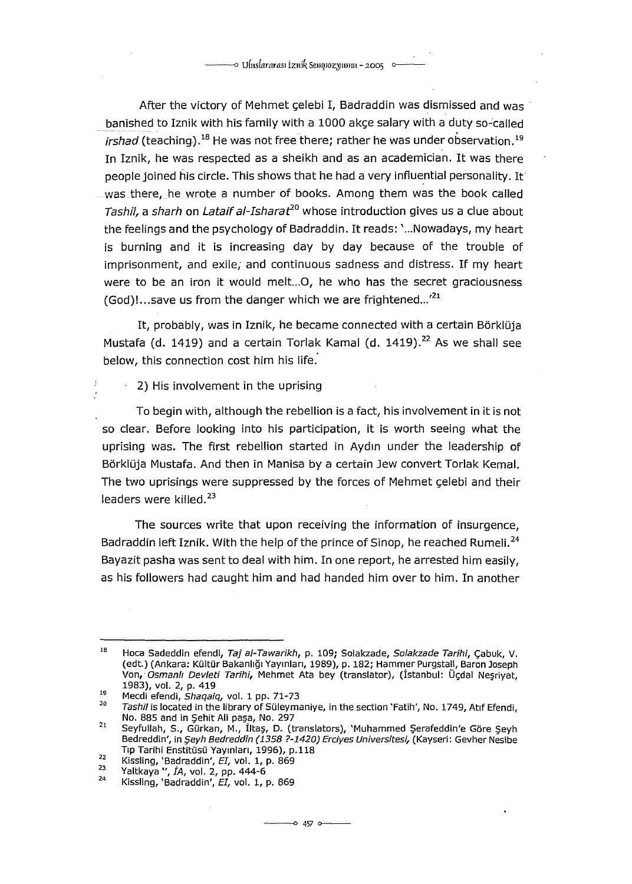After the victory of Mehmet çelebi I, Badraddin was dismissed and was banished to Iznik with his family with a 1000 akce salary with a duty so-called *irshad* (teaching).<sup>18</sup> He was not free there; rather he was under observation.<sup>19</sup> In Iznik, he was respected as a sheikh and as an academician. It was there people joined his circle. This shows that he had a very influential personality. It was there, he wrote a number of books. Among them was the book called Tashil, a sharh on Lataif al-Isharat<sup>20</sup> whose introduction gives us a clue about the feelings and the psychology of Badraddin. It reads: ' ... Nowadays, my heart is burning and it is increasing day by day because of the trouble of imprisonment, and exile; and continuous sadness and distress. If my heart were to be an iron it would melt...O, he who has the secret graciousness (God)!...save us from the danger which we are frightened...<sup>,21</sup>

It, probably, was in Iznik, he became connected with a certain Börklüja Mustafa (d. 1419) and a certain Torlak Kamal (d. 1419).<sup>22</sup> As we shall see below, this connection cost him his life.

 $-2$ ) His involvement in the uprising

To begin with, although the rebellion is a fact, his involvement in it is not so clear. Before looking into his participation, it is worth seeing what the uprising was. The first rebellion started in Aydın under the leadership of Börklüja Mustafa. And then in Manisa by a certain Jew convert Torlak Kemal. The two uprisings were suppressed by the forces of Mehmet çelebi and their leaders were killed.<sup>23</sup>

The sources write that upon receiving the information of insurgence, Badraddin left Iznik. With the help of the prince of Sinop, he reached Rumeli.<sup>24</sup> Bayazit pasha was sent to deal with him. In one report, he arrested him easily, as his followers had caught him and had handed him over to him. In another

<sup>18</sup>  19 Hoca Sadeddin efendi, Taj al-Tawarikh, p. 109; Solakzade, Solakzade Tarihi, Çabuk, V. (edt.) (Ankara: Kültür Bakanlığı Yayınları, ı989), p. ı82; Hammer Purgstall, Baran Joseph Von, Osmanli Devleti Tarihi, Mehmet Ata bey (translator), (İstanbul: Üçdal Neşriyat, ı983), vol. 2, p. 4ı9

<sup>ı</sup>o Mecdi efendi, Shaqaiq, vol. 1 pp. 71-73

Tashil is located in the library of Süleymaniye, in the section 'Fatih', No. 1749, Atıf Efendi, No. 885 and in Şehit Ali paşa, No. 297

<sup>21</sup>  Seyfullah, S., Gürkan, M., İltaş, D. (translators), 'Muhammed Şerafeddin'e Göre Şeyh Bedreddin', in Şeyh Bedreddin (1358 ?-1420) Erciyes Universitesi, (Kayseri: Gevher Nesibe Tıp Tarihi Enstitüsü Yayınları, 1996), p.118

<sup>22</sup>  23 Kissling, 'Badraddin', *EI,* vol. ı, p. 869

<sup>24</sup>  Yaltkaya ", İA, vol. 2, pp. 444-6

Kissling, 'Badraddin', EI, vol. 1, p. 869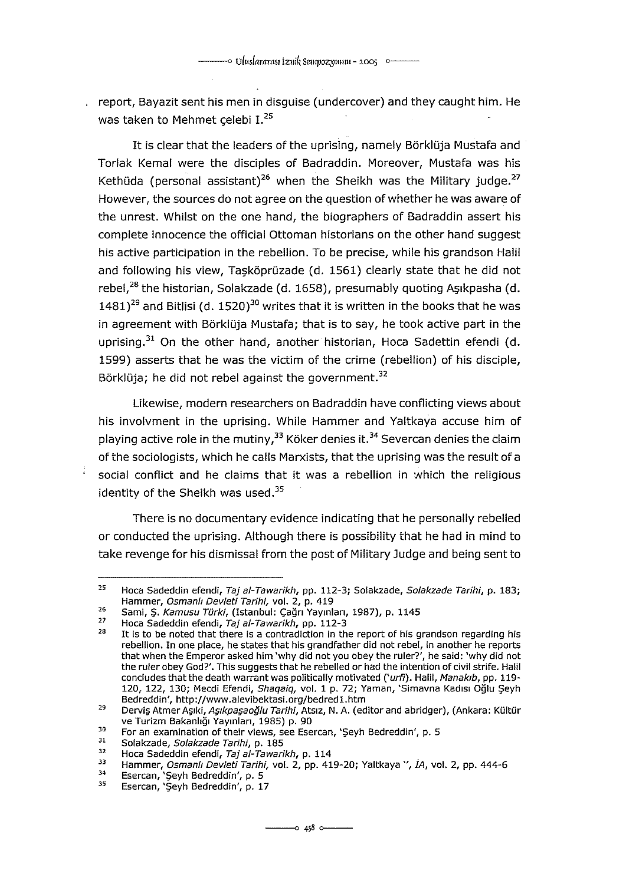report, Bayazit sent his men in disquise (undercover) and they caught him. He was taken to Mehmet celebi I.<sup>25</sup>

It is clear that the leaders of the uprising, namely Börklüja Mustafa and Torlak Kemal were the disciples of Badraddin. Moreover, Mustafa was his Kethüda (personal assistant)<sup>26</sup> when the Sheikh was the Military judge.<sup>27</sup> However, the sources do not agree on the question of whether he was aware of the unrest. Whilst on the one hand, the biographers of Badraddin assert his complete innocence the official Ottoman historians on the other hand suggest his active participation in the rebellion. To be precise, while his grandson Halil and following his view, Taşköprüzade (d. 1561) clearly state that he did not rebel,<sup>28</sup> the historian, Solakzade (d. 1658), presumably quoting Aşıkpasha (d.  $1481$ <sup>29</sup> and Bitlisi (d. 1520)<sup>30</sup> writes that it is written in the books that he was in agreement with Börklüja Mustafa; that is to say, he took active part in the uprising. $31$  On the other hand, another historian, Hoca Sadettin efendi (d. 1599) asserts that he was the victim of the erime (rebellion) of his disciple, Börklüja; he did not rebel against the government.<sup>32</sup>

Likewise, modern researchers on Badraddin have conflicting views about his involvment in the uprising. While Hammer and Yaltkaya accuse him of playing active role in the mutiny,<sup>33</sup> Köker denies it.<sup>34</sup> Severcan denies the claim of the sociologists, which he calls Marxists, that the uprising was the result of a social conflict and he claims that it was a rebellion in which the religious identity of the Sheikh was used.<sup>35</sup>

There is no documentary evidence indicating that he personally rebelled or conducted the uprising. Although there is possibility that he had in mind to take revenge for his dismissal from the post of Military Judge and being sent to

<sup>25</sup>  Hoca Sadeddin efendi, Taj al-Tawarikh, pp. 112-3; Solakzade, Solakzade Tarihi, p. 183; Hammer, Osmanlt Devleti Tarihi, vol. 2, p. 4ı9

<sup>26</sup>  Sami, Ş. Kamusu Türki, (Istanbul: Çağrı Yayınları, 1987), p. 1145

<sup>27</sup>  Hoca Sadeddin efendi, Taj a/-Tawarikh, pp. 112-3

<sup>28</sup>  It is to be noted that there is a contradiction in the report of his grandson regarding his rebellion. In one place, he states that his grandfather did not rebel, in another he reports that when the Emperor asked him 'why did not you obey the ruler?', he said: 'why did not the ruler obey God?'. This suggests that he rebelled or had the intention of civil strife. Halil concludes that the death warrant was politically motivated ('urfi). Halil, Manakib, pp. 119-120, 122, 130; Mecdi Efendi, Shaqaiq, vol. 1 p. 72; Yaman, 'Simavna Kadısı Oğlu Şeyh Bedreddin', http:/ /www .alevibektasi.org/bedred ı .htm

<sup>29</sup>  Derviş Atmer Aşıki, Aşıkpaşaoğlu Tarihi, Atsız, N. A. (editor and abridger), (Ankara: Kültür ve Turizm Bakanlığı Yayınları, 1985) p. 90

<sup>30</sup>  For an examination of their views, see Esercan, 'Şeyh Bedreddin', p. 5

<sup>31</sup>  Solakzade, Solakzade Tarihi, p. 185

<sup>32</sup>  Hoca Sadeddin efendi, Taj al-Tawarikh, p. 114

<sup>33</sup>  Hammer, Osmanlt Devleti Tarihi, vol. 2, pp. 4ı9-20; Yaltkaya ", İA, vol. 2, pp. 444-6

<sup>34</sup>  Esercan, 'Şeyh Bedreddin', p. 5 Esercan, 'Şeyh Bedreddin', p. ı 7

<sup>35</sup>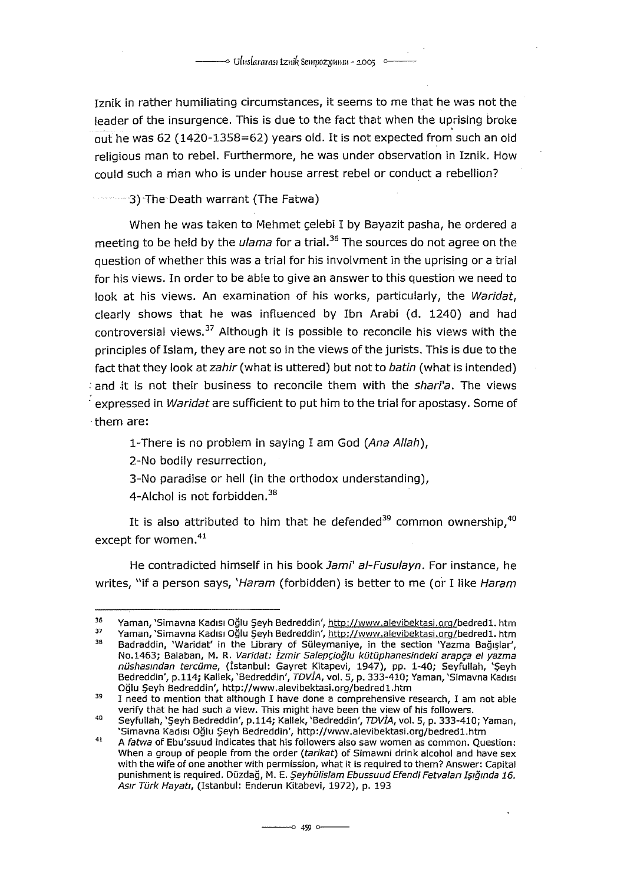ıznik in rather humiliating circumstances, it seems to me that he was not the leader of the insurgence. This is due to the fact that when the uprising broke out he was 62 (1420-1358=62) years old. It is not expected from such an old religious man to rebel. Furthermore, he was under observation in Iznik. How could such a man who is under house arrest rebel or conduct a rebellion?

3) The Death warrant (The Fatwa)

When he was taken to Mehmet çelebi I by Bayazit pasha, he ordered a meeting to be held by the *ulama* for a trial.<sup>36</sup> The sources do not agree on the question of whether this was a trial for his involvment in the uprising or a trial for his views. In order to be able to give an answer to this question we need to look at his views. An examination of his works, particularly, the Waridat, clearly shows that he was influenced by Ibn Arabi (d. 1240) and had controversial views.<sup>37</sup> Although it is possible to reconcile his views with the principles of Islam, they are not so in the views of the jurists. This is due to the fact that they look at zahir (what is uttered) but not to batin (what is intended) and it is not their business to reconcile them with the shari'a. The views expressed in Waridat are sufficient to put him to the trial for apostasy. Some of ·them are:

1-There is no problem in saying I am God (Ana Allah),

2-No bodily resurrection,

3-No paradise or hell (in the orthodox understanding),

4-Alchol is not forbidden.<sup>38</sup>

It is also attributed to him that he defended<sup>39</sup> common ownership,<sup>40</sup> except for women. <sup>41</sup>

He contradicted himself in his book Jami' al-Fusulayn. For instance, he writes, "if a person says, 'Haram (forbidden) is better to me (or I like Haram

<sup>36</sup>  37 Yaman, 'Simavna Kadısı Oğlu Şeyh Bedreddin', http://www.alevibektasi.org/bedred1. htm

<sup>39</sup>  Yaman, 'Simavna Kadısı Oğlu Şeyh Bedreddin', http://www.alevibektasi.org/bedred1. htm Badraddin, 'Waridat' in the Library of Süleymaniye, in the section 'Yazma Bağışlar',<br>No.1463; Balaban, M. R. *Varidat: İzmir Salepçioğlu kütüphanesindeki arapça el yazma* nüshasmdan tercüme, (İstanbul: Gayret Kitapevi, 1947), pp. 1-40; Seyfullah, 'Şeyh Bedreddin', p.114; Kallek, 'Bedreddin', *TDVIA,* vol. 5, p. 333-410; Yaman, 'Simavna Kadısı<br>Oğlu Şeyh Bedreddin', http://www.alevibektasi.org/bedred1.htm

<sup>39</sup>  I need to mention that although I have done a comprehensive research, I am not able verify that he had such a view. This might have been the view of his followers.

<sup>40</sup>  Seyfullah, 'Şeyh Bedreddin', p.114; Kallek, 'Bedreddin', TDVİA, vol. 5, p. 333-410; Yaman, 'Simavna Kadısı Oğlu Şeyh Bedreddin', http://www.alevibektasi.org/bedred1.htm

<sup>41</sup>  A fatwa of Ebu'ssuud indicates that his fallawers also saw women as common. Question: When a group of people from the order (tarikat) of Simawni drink alcohol and have sex with the wife of one another with permission, what it is required to them? Answer: Capital punishment is required. Düzdağ, M. E. Şeyhülislam Ebussuud Efendi Fetvaları Işığında 16. Asır Türk Hayatı, (Istanbul: Enderun Kitabevi, 1972), p. 193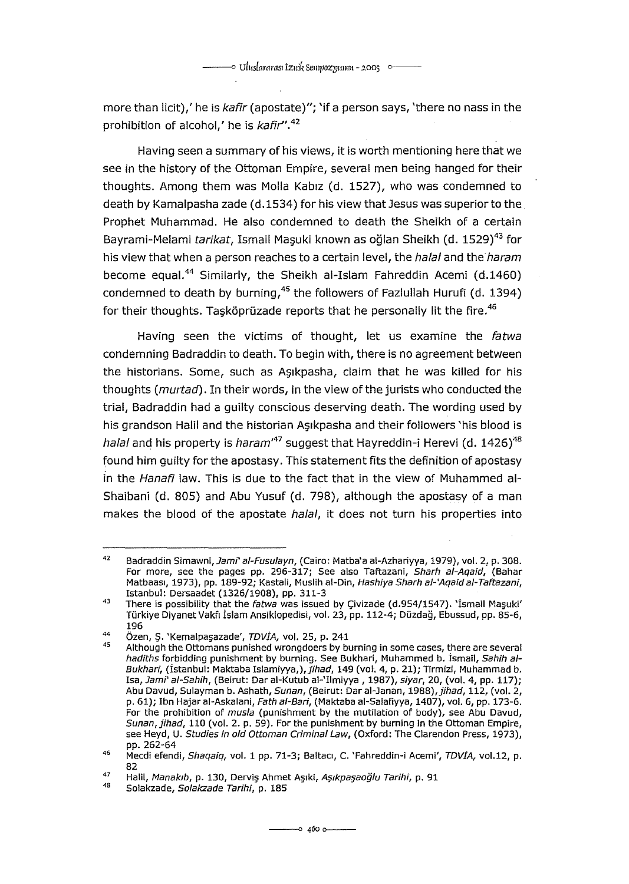more than licit),' he is kafir (apostate)"; 'if a person says, 'there no nass in the prohibition of alcohol,' he is kafir".<sup>42</sup>

Having seen a summary of his views, it is worth mentioning here that we see in the history of the Ottoman Empire, several men being hanged for their thoughts. Among them was Molla Kabız (d. 1527), who was condemned to death by Kamalpasha zade (d.1534) for his view that Jesus was superior to the Prophet Muhammad. He alsa condemned to death the Sheikh of a certain Bayrami-Melami tarikat, Ismail Maşuki known as oğlan Sheikh (d. 1529)<sup>43</sup> for his view that when a person reaches to a certain level, the halal and the haram become equal.<sup>44</sup> Similarly, the Sheikh al-Islam Fahreddin Acemi (d.1460) condemned to death by burning,  $45$  the followers of Fazlullah Hurufi (d. 1394) for their thoughts. Tasköprüzade reports that he personally lit the fire.<sup>46</sup>

Having seen the victims of thought, let us examine the fatwa condemning Badraddin to death. To begin with, there is no agreement between the historians. Some, such as Asikpasha, claim that he was killed for his thoughts (murtad). In their words, in the view of the jurists who conducted the trial, Badraddin had a guilty conscious deserving death. The wording used by his grandson Halil and the historian Aşıkpasha and their followers 'his blood is hala/ and his property is haram<sup>47</sup> suggest that Hayreddin-i Herevi (d. 1426)<sup>48</sup> found him guilty for the apostasy. This statement fits the defınition of apostasy in the Hanafi law. This is due to the fact that in the view of Muhammed ai-Shaibani (d. 805) and Abu Yusuf (d. 798), although the apostasy of a man makes the blood of the apostate halal, it does not turn his properties into

<sup>42</sup>  Badraddin Simawni, Jami' al-Fusulayn, (Cairo: Matba'a al-Azhariyya, 1979), vol. 2, p. 308. For more, see the pages pp. 296-317; See also Taftazani, Sharh al-Aqaid, (Bahar Matbaası, 1973), pp. 189-92; Kastali, Muslih al-Din, Hashiya Sharh ai-'Aqaid al-Taftazani, Istanbul: Dersaadet (1326/1908), pp. 311-3

<sup>43</sup>  There is possibility that the fatwa was issued by Çivizade (d.954/1547). 'İsmail Maşuki' Türkiye DiyanetVakfı İslam Ansiklopedisi, vol. 23, pp. 112-4; Düzdağ, Ebussud, pp. 85-6, 196

<sup>44</sup>  Özen, Ş. 'Kemalpaşazade', TDVİA, vol. 25, p. 241

<sup>45</sup>  Although the Ottomans punished wrongdoers by buming in some cases, there are several hadiths forbidding punishment by burning. See Bukhari, Muhammed b. İsmail, Sahih ai-Bukhari, (İstanbul: Maktaba Islamiyya,), jihad, 149 (vol. 4, p. 21); Tirmizi, Muhammad b. Isa, Jami' ai-Sahih, (Beirut: Dar ai-Kutub ai-'IImiyya, 1987), siyar, 20, (vol. 4, pp. 117); Abu Davud, Sulayman b. Ashath, Sunan, (Beirut: Dar al-Janan, 1988), jihad, 112, (vol. 2, p. 61); Ibn Hajar al-Askalani, Fath al-Bari, (Maktaba al-Salafiyya, 1407), vol. 6, pp. 173-6. For the prohibition of musla (punishment by the mutilation of body), see Abu Davud, Sunan, jihad, 110 (vol. 2. p. 59). For the punishment by buming in the Ottoman Empire, see Heyd, U. Studies in old Ottoman Criminal Law, (Oxford: The Ciarendon Press, 1973), pp. 262-64

<sup>46</sup>  47 Mecdi efendi, Shaqaiq, vol. 1 pp. 71-3; Baltacı, C. 'Fahreddin-i Acemi', TDVIA, vol.12, p. 82

Halil, Manakıb, p. 130, Derviş Ahmet Aşıki, Aşıkpaşaoğlu Tarihi, p. 91

<sup>48</sup>  Solakzade, Solakzade Tarihi, p. 185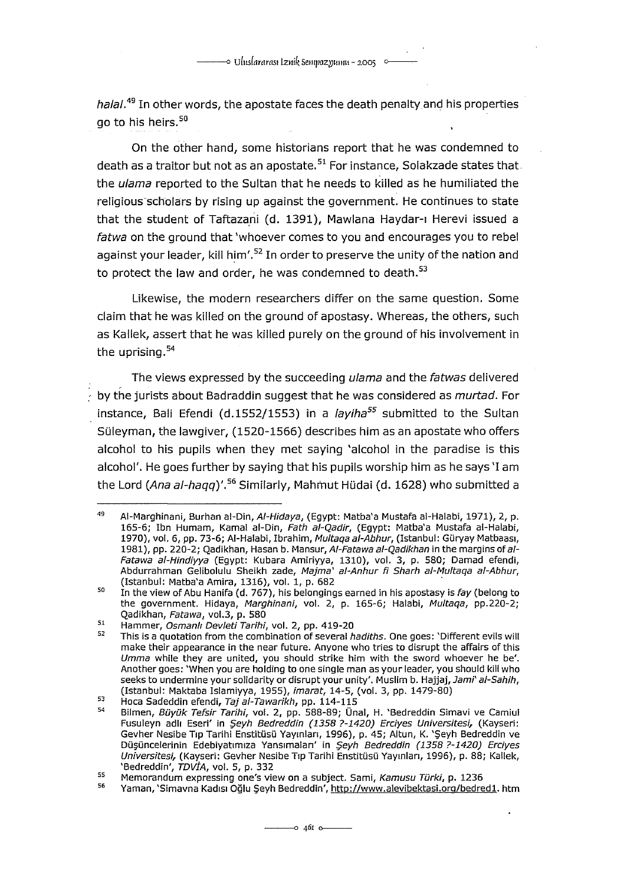halal.<sup>49</sup> In other words, the apostate faces the death penalty and his properties go to his heirs.<sup>50</sup>

On the other hand, some historians report that he was condemned to death as a traitor but not as an apostate.<sup>51</sup> For instance, Solakzade states that the ulama reported to the Sultan that he needs to killed as he humiliated the religious scholars by rising up against the government. He continues to state that the student of Taftazani (d. 1391), Mawlana Haydar-ı Herevi issued a fatwa on the ground that 'whoever comes to you and encourages you to rebel against your leader, kill him'.<sup>52</sup> In order to preserve the unity of the nation and to protect the law and order, he was condemned to death.<sup>53</sup>

Likewise, the modern researchers differ on the same question. Same daim that he was killed on the ground of apostasy. Whereas, the others, such as Kallek, assert that he was killed purely on the ground of his involvement in the uprising.<sup>54</sup>

The views expressed by the succeeding *ulama* and the *fatwas* delivered by the jurists about Badraddin suggest that he was considered as *murtad*. For instance, Bali Efendi (d.1552/1553) in a *layiha<sup>55</sup>* submitted to the Sultan Süleyman, the lawgiver, (1520-1566) deseribes him as an apostate who offers alcohol to his pupils when they met saying 'alcohol in the paradise is this alcohol'. He goes further by saying that his pupils worship him as he says 'I am the Lord (Ana al-haqq)'.<sup>56</sup> Similarly, Mahmut Hüdai (d. 1628) who submitted a

<sup>49</sup>  AI-Marghinani, Burhan al-Din, AI-Hidaya, (Egypt: Matba'a Mustafa ai-Halabi, 1971), 2, p. 165-6; Ibn Humam, Kamal al-Din, Fath ai-Qadir, (Egypt: Matba'a Mustafa ai-Halabi, 1970), vol. 6, pp. 73-6; Al-Halabi, Ibrahim, Multaqa al-Abhur, (Istanbul: Güryay Matbaası, 1981), pp. 220-2; Qadikhan, Hasan b. Mansur, Al-Fatawa al-Qadikhan in the margins of al-*Fatawa al-Hindiyya* (Egypt: Kubara Amiriyya, 1310), vol. 3, p. 580; Damad efendi,<br>Abdurrahman Gelibolulu Sheikh zade, *Majma` al-Anhur fi Sharh al-Multaqa al-Abhur*, (Istanbul: Matba'a Amira, 1316), vol. 1, p. 682 ·

<sup>50</sup>  51 In the view of Abu Hanifa (d. 767), his belongings earned in his apostasy is fay (belong to the government. Hidaya, Marghinani, vol. 2, p. 165-6; Halabi, Multaqa, pp.220-2; Qadikhan, Fatawa, vol.3, p. 580

Hammer, Osmanli Devleti Tarihi, vol. 2, pp. 419-20

<sup>52</sup>  This is a quotation from the combination of several hadiths. One goes: 'Different evils will make their appearance in the near future. Anyone who tries to disrupt the affairs of this Umma while they are united, you should strike him with the sword whoever he be'. Another goes: 'When you are holding to one single man as your leader, you should kil! who seeks to undermine your solidarity or disrupt your unity'. Muslim b. Hajjaj, Jami' al-Sahih, (Istanbul: Maktaba Islamiyya, 1955), imarat, 14-5, (vol. 3, pp. 1479-80)

<sup>53</sup>  Hoca Sadeddin efendi, Taj ai-Tawarikh, pp. 114-115

<sup>54</sup>  Bilmen, Büyük Tefsir Tarihi, vol. 2, pp. 588-89; Ünal, H. 'Bedreddin Simavi ve Camiul Fusuleyn adlı Eseri' in Şeyh Bedreddin (1358 ?-1420) Erciyes Universitesi, (Kayseri: Gevher Nesibe Tıp Tarihi Enstitüsü Yayınları, 1996), p. 45; Altun, K. 'Şeyh Bedreddin ve Düşüncelerinin Edebiyatımıza Yansımaları' in Şeyh Bedreddin (1358 ?-1420) Erciyes Universitesi, (Kayseri: Gevher Nesibe Tıp Tarihi Enstitüsü Yayınları, 1996), p. 88; Kallek, 'Bedreddin', TDVİA, vol. S, p. 332

<sup>55</sup>  Memorandum expressing one's view on a subject. Sami, Kamusu Türki, p. 1236

<sup>56</sup>  Yaman, 'Simavna Kadısı Oğlu Şeyh Bedreddin', http://www.alevibektasi.org/bedred1. htm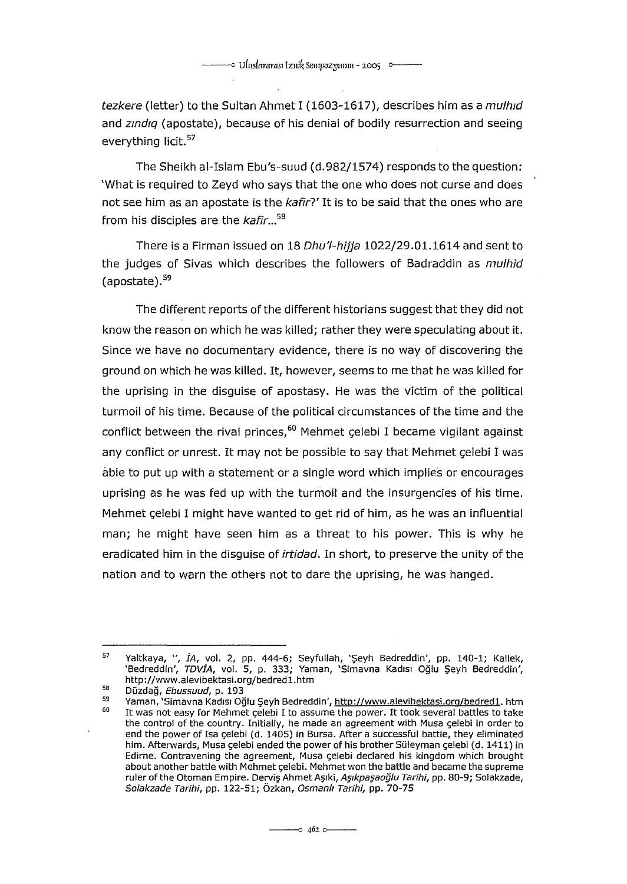tezkere (letter) to the Sultan Ahmet I (1603-1617), describes him as a mulhid and zindig (apostate), because of his denial of bodily resurrection and seeing everything licit.<sup>57</sup>

The Sheikh al-Islam Ebu's-suud (d. 982/1574) responds to the question: 'What is required to Zeyd who says that the one who does not eurse and does not see him as an apostate is the kafir?' It is to be said that the ones who are from his diseiples are the kafir ... *<sup>58</sup>*

There is a Firman issued on 18 Dhu'l-hijja 1022/29.01.1614 and sent to the judges of Sivas which describes the followers of Badraddin as *mulhid* (apostate).<sup>59</sup>

The different reports of the different historians suggest that they did not know the reason on which he was killed; rather they were speculating about it. Sinee we have no doeumentary evidenee, there is no way of diseovering the ground on whieh he was killed. It, however, seems to me that he was killed for the uprising in the disguise of apostasy. He was the victim of the political turmail of his time. Beeause of the politieal eireumstanees of the time and the conflict between the rival princes,<sup>60</sup> Mehmet çelebi I became vigilant against any eonflict or unrest. It may not be possible to say that Mehmet çelebi I was able to put up with a statement or a single word which implies or encourages uprising as he was fed up with the turmoil and the insurgencies of his time. Mehmet çelebi I might have wanted to get rid of him, as he was an influential man; he might have seen him as a threat to his power. This is why he eradicated him in the disguise of *irtidad*. In short, to preserve the unity of the nation and to warn the others not to dare the uprising, he was hanged.

<sup>57</sup>  sa Yaltkaya, ", İA, vol. 2, pp. 444-6; Seyfullah, 'Şeyh Bedreddin', pp. 140-1; Kallek, 'Bedreddin', TDVİA, vol. 5, p. 333; Yaman, 'Simavna Kadısı Oğlu Şeyh Bedreddin', http://www.alevibektasi.org/bedred1.htm

Düzdağ, Ebussuud, p. 193

<sup>59</sup>  60 Yaman, 'Simavna Kadısı Oğlu Şeyh Bedreddin', http://www.alevibektasi.org/bedred1. htm It was not easy for Mehmet çelebi I to assume the power. It took several battles to take the control of the country. Initially, he made an agreement with Musa çelebi in order to end the power of Isa çelebi (d. 1405) in Bursa. After a successful battle, they eliminated him. Afterwards, Musa çelebi ended the power of his brother Süleyman çelebi (d. 1411) in Edirne. Contravening the agreement, Musa çelebi declared his kingdam which brought about anather battle with Mehmet çelebi. Mehmet won the battle and became the supreme ruler of the Otoman Empire. Derviş Ahmet Aşıki, Aşıkpaşaoğlu Tarihi, pp. 80-9; Solakzade, Solakzade Tarihi, pp. 122-51; Özkan, Osmanlı Tarihi, pp. 70-75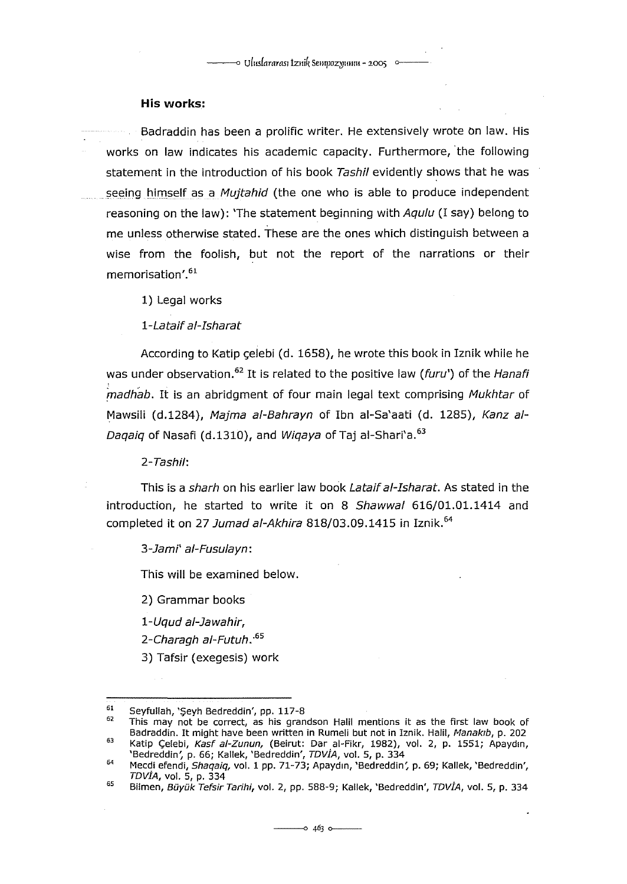### **His works:**

Badraddin has been a prolific writer. He extensively wrote on law. His works on law indicates his academic capacity. Furthermore, the following statement in the introduction of his book Tashil evidently shows that he was seeing himself as a *Mujtahid* (the one who is able to produce independent reasoning on the law): 'The statement beginning with Agulu (I say) belong to me unless otherwise stated. These are the ones which distinguish between a wise from the foolish, but not the report of the narrations or their memorisation'.<sup>61</sup>

1) Legal works

1-Lataif al-Isharat

According to Katip celebi (d. 1658), he wrote this book in Iznik while he was under observation.<sup>62</sup> It is related to the positive law (furu') of the Hanafi madhab. It is an abridgment of four main legal text comprising Mukhtar of Mawsili (d.1284), Majma al-Bahrayn of Ibn al-Sa'aati (d. 1285), Kanz al-Daqaiq of Nasafi (d.1310), and Wiqaya of Taj al-Shari'a. 63

2-Tashi/:

This is a sharh on his earlier law book Lataif al-Isharat. As stated in the introduction, he started to write it on 8 Shawwal 616/01.01.1414 and completed it on 27 Jumad al-Akhira 818/03.09.1415 in Iznik.<sup>64</sup>

3-Jami' ai-Fusu/ayn:

This will be examined below.

2) Grammar books

1-Uqud ai-Jawahir,

2-Charagh a/-Futuh:*<sup>65</sup>*

3) Tafsir (exegesis) work

<sup>61</sup>  Seyfullah, 'Şeyh Bedreddin', pp. 117-8

<sup>62</sup>  63 This may not be correct, as his grandson Halil mentions it as the fırst law book of Badraddin. It might have been written in Rumeli but not in Iznik. Halil, Manakıb, p. 202 Katip Çelebi, *Kasf al-Zunun,* (Beirut: Dar al-Fikr, 1982), vol. 2, p. 1551; Apaydın,<br>'Bedreddin', p. 66; Kallek, 'Bedreddin', *TDVİA*, vol. 5, p. 334

<sup>64</sup> 

<sup>65</sup>  Mecdi efendi, *Shaqaiq, v*ol. 1 pp. 71-73; Apaydın, 'Bedreddin', p. 69; Kallek, 'Bedreddin', TDVİA, vol. 5, p. 334

Bilmen, *Büyük* Tefsir Tarihi, vol. 2, pp. 588-9; Kallek, 'Bedreddin', TDVİA, vol. 5, p. 334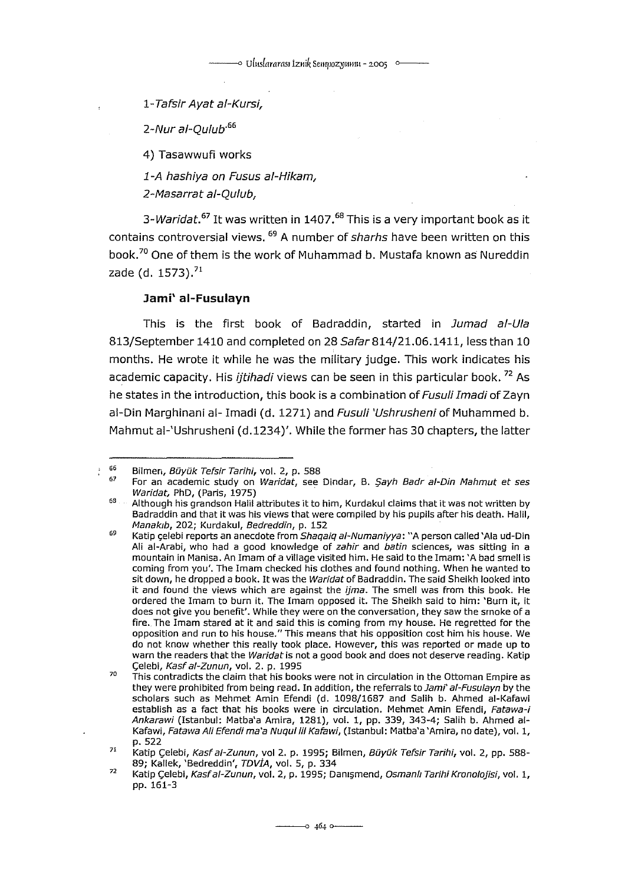---<> uluslararası 1zııik Seııqıozı:ıııııııı- *2.005* o---

1-Tafsir Ayat ai-Kursi,

2-Nur al-Qulub<sup>-66</sup>

4) Tasawwufi works

1-A hashiya on Fusus ai-Hikam,

2-Masarrat a/-Qu/ub,

3-Waridat.<sup>67</sup> It was written in 1407.<sup>68</sup> This is a very important book as it contains controversial views. <sup>69</sup> A number of *sharhs* have been written on this book.<sup>70</sup> One of them is the work of Muhammad b. Mustafa known as Nureddin zade (d. 1573).<sup>71</sup>

# **Jami' ai-Fusulayn**

This is the first book of Badraddin, started in Jumad al-Ula 813/September 1410 and completed on 28 Safar 814/21.06.1411, less than 10 months. He wrote it while he was the military judge. This work indicates his academic capacity. His *ijtihadi* views can be seen in this particular book.<sup>72</sup> As he states in the introduction, this book is a combination of Fusuli Imadi of Zayn al-Din Marghinani al- Imadi (d. 1271) and Fusuli 'Ushrusheni of Muhammed b. Mahmut ai-'Ushrusheni (d.1234)'. While the former has 30 chapters, the latter

÷

<sup>66</sup>  Bilmen, Büyük Tefsir Tarihi, vol. 2, p. 588

<sup>67</sup>  For an academic study on Waridat, see Dindar, B. Şayh Badr al-Din Mahmut et ses Waridat, PhD, (Paris, 1975)

<sup>68</sup>  Although his grandson Halil attributes it to him, Kurdakul claims that it was not written by Badraddin and that it was his views that were compiled by his pupils after his death. Halil, Manakıb, 202; Kurdakul, Bedreddin, p. 152

<sup>69</sup>  70 Katip çelebi reports an anecdote from Shaqaiq al-Numaniyya: "A person called 'Ala ud-Din Ali ai-Arabi, who had a good knowledge of zahir and batin sciences, was sitting in a mountain in Manisa. An Imam of a viiiage visited him. He said to the Imam: 'A bad smell is coming from you'. The Imam checked his dothes and found nothing. When he wanted to sit down, he dropped a book. It was the Waridat of Badraddin. The said Sheikh looked into it and found the views which are against the *ijma*. The smell was from this book. He<br>ordered the Imam to burn it. The Imam opposed it. The Sheikh said to him: 'Burn it, it does not give you benefıt'. While they were on the conversation, they saw the srnoke of a fire. The Imam stared at it and said this is coming from my house. He regretted for the opposition and run to his house." This means that his opposition cost him his house. We do not know whether this really took place. However, this was reported or made up to warn the readers that the Waridat is not a good book and does not deserve reading. Katip Çelebi, Kast ai-Zunun, vol. 2. p. 1995

This contradicts the daim that his books were not in circulation in the Ottoman Empire as they were prohibited from being read. In addition, the referrals to Jami' al-Fusulayn by the scholars such as Mehmet Amin Efendi (d. 1098/1687 and Salih b. Ahmed al-Kafawi establish as a fact that his books were in circulation. Mehmet Amin Efendi, Fatawa-i Ankarawi (Istanbul: Matba'a Amira, 1281), vol. ı, pp. 339, 343-4; Salih b. Ahmed ai-Kafawi, Fatawa Ali Efendi ma'a Nuqul lil Kafawi, (Istanbul: Matba'a 'Amira, no date), vol. 1, p. 522

<sup>71</sup>  Katip Çelebi, Kasf al-Zunun, vol 2. p. 1995; Bilmen, Büyük Tefsir Tarihi, vol. 2, pp. 588-89; Kallek, 'Bedreddin', TDVİA, vol. 5, p. 334

<sup>72</sup>  Katip Çelebi, Kasfal-Zunun, vol. 2, p. 1995; Danışmend, Osmanlı Tarihi Kronolojisi, vol. 1, pp. 16ı-3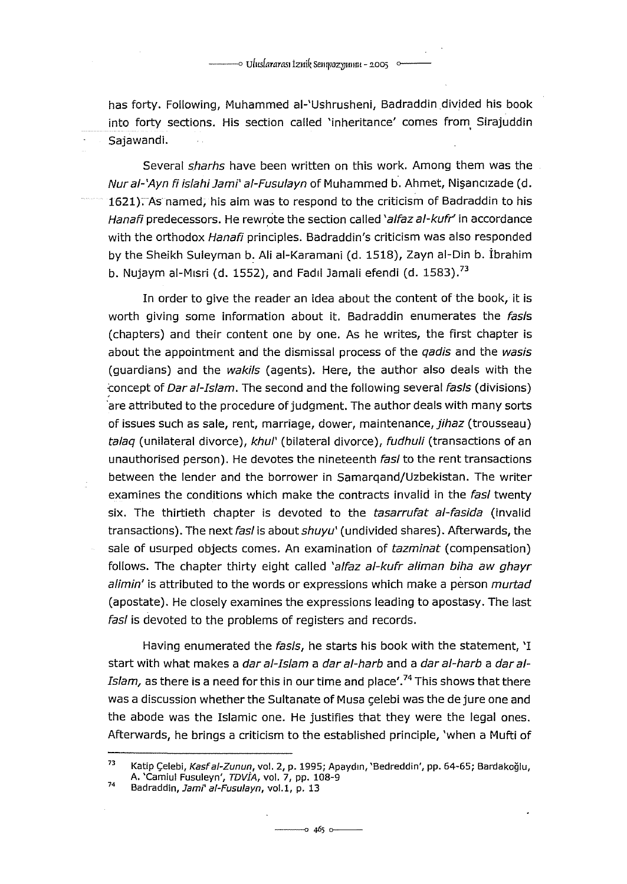has forty. Following, Muhammed ai-'Ushrusheni, Badraddin divided his book into forty sections. His section called 'inheritance' comes from Sirajuddin Sajawandi.

Several sharhs have been written on this work. Among them was the Nur al-'Ayn fi islahi Jami' al-Fusulayn of Muhammed b. Ahmet, Nişancızade (d. 1621). As named, his aim was to respond to the criticism of Badraddin to his Hanafi predecessors. He rewrote the section called 'alfaz al-kufr' in accordance with the orthodox Hanafi principles. Badraddin's criticism was also responded by the Sheikh Suleyman b: Aliai-Karamani (d. 1518), Zayn al-Din b. İbrahim b. Nujaym al-Mısri (d. 1552), and Fadıl Jamali efendi (d. 1583).<sup>73</sup>

In order to give the reader an idea about the content of the book, it is worth giving some information about it. Badraddin enumerates the fasis (chapters) and their content one by one. As he writes, the first chapter is about the appointment and the dismissal process of the *gadis* and the wasis (guardians) and the wakils (agents). Here, the author also deals with the ~oncept of Dar al-Islam. The second and the following several fas/s (divisions) are attributed to the procedure of judgment. The author deals with many sorts of issues such as sale, rent, marriage, dower, maintenance, jihaz (trousseau) talaq (unilateral divorce), khul' (bilateral divorce), fudhuli (transactions of an unauthorised person). He devotes the nineteenth fasl to the rent transactions between the lender and the borrower in Samarqand/Uzbekistan. The writer examines the conditions which make the contracts invalid in the fasl twenty six. The thirtieth chapter is devoted to the tasarrufat al-fasida (invalid transactions). The next fasl is about shuyu' (undivided shares). Afterwards, the sale of usurped objects comes. An examination of tazminat (compensation) follows. The chapter thirty eight called 'alfaz al-kufr aliman biha aw ghayr alimin' is attributed to the words or expressions which make a person murtad (apostate). He closely examines the expressions leading to apostasy. The last fasl is devoted to the problems of registers and records.

Having enumerated the fasls, he starts his book with the statement, 'I start with what makes a *dar al-Islam a dar al-harb* and a *dar al-harb* a *dar al-Islam,* as there is a need for this in our time and place'.<sup>74</sup> This shows that there was a discussion whether the Sultanate of Musa celebi was the de jure one and the abode was the Islamic one. He justifies that they were the legal ones. Afterwards, he brings a criticism to the established principle, 'when a Mufti of

<sup>73</sup>  74 Katip Çelebi, Kasf al-Zunun, vol. 2, p. 1995; Apaydın, 'Bedreddin', pp. 64-65; Bardakoğlu, A. 'Camiul Fusuleyn', TDVİA, vol. 7, pp. 108-9

Badraddin, Jami' al-Fusulayn, vol.1, p. 13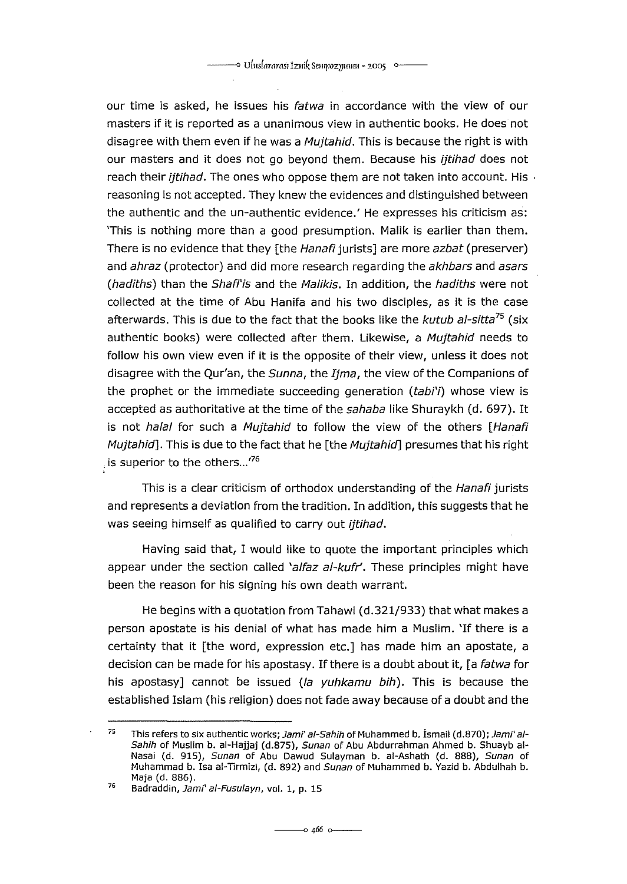our time is asked, he issues his fatwa in accordance with the view of our masters if it is reported as a unanimous view in authentic books. He does not disagree with them even if he was a *Mujtahid*. This is because the right is with our masters and it does not go beyond them. Because his *ijtihad* does not reach their *ijtihad*. The ones who oppose them are not taken into account. His reasoning is not accepted. They knew the evidences and distinguished between the authentic and the un-authentic evidence.' He expresses his criticism as: 'This is nothing more than a good presumption. Malik is earlier than them. There is no evidence that they [the Hanafi jurists] are more azbat (preserver) and ahraz (protector) and did more research regarding the akhbars and asars (hadiths) than the Shafi'is and the Malikis. In addition, the hadiths were not collected at the time of Abu Hanifa and his two disciples, as it is the case afterwards. This is due to the fact that the books like the kutub al-sitta*75* (six authentic books) were collected after them. Likewise, a Mujtahid needs to follow his own view even if it is the opposite of their view, unless it does not disagree with the Qur'an, the Sunna, the Ijma, the view of the Companions of the prophet or the immediate succeeding generation  $(tabi')$  whose view is accepted as authoritative at the time of the sahaba like Shuraykh (d. 697). It is not halal for such a Mujtahid to follow the view of the others [Hanafi Mujtahid]. This is due to the fact that he [the Mujtahid] presumes that his right is superior to the others...<sup>76</sup>

This is a clear criticism of orthodox understanding of the Hanafi jurists and represents a deviation from the tradition. In addition, this suggests that he was seeing himself as qualified to carry out *ijtihad*.

Having said that, I would like to quote the important principles which appear under the section called 'alfaz  $al$ -kufr'. These principles might have been the reason for his signing his own death warrant.

He begins with a quotation from Tahawi (d.321/933) that what makes a person apostate is his denial of what has made him a Muslim. 'If there is a certainty that it [the word, expressian ete.] has made him an apostate, a decision can be made for his apostasy. If there is a doubt about it, [a fatwa for his apostasy] cannot be issued (la yuhkamu bih). This is because the established Islam (his religion) does not fade away because of a doubt and the

<sup>75</sup>  This refers to six authentic works; Jami' al-Sahih of Muhammed b. İsmail (d.870); Jami' al-Sahih of Muslim b. ai-Hajjaj (d.875), Sunan of Abu Abdurrahman Ahmed b. Shuayb ai-Nasai (d. 915), Sunan of Abu Dawud Sulayman b. al-Ashath (d. 888), Sunan of Muhammad b. Isa al-Tirmizi, (d. 892) and Sunan of Muhammed b. Yazid b. Abdulhah b. Maja (d. 886).

<sup>76</sup>  Badraddin, Jami' al-Fusulayn, vol. 1, p. 15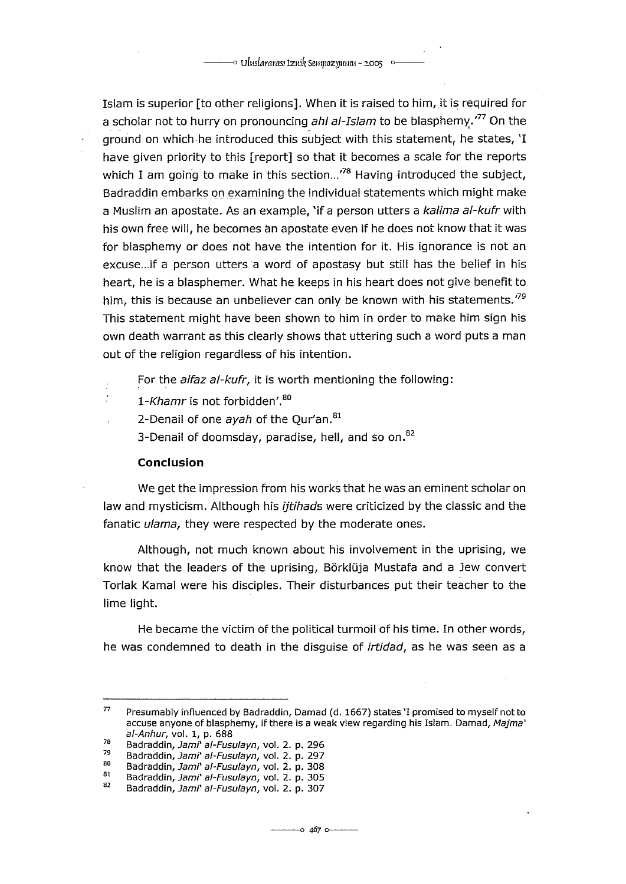Islam is superior [to other religions]. When it is raised to him, it is required for a scholar not to hurry on pronouncing ahl al-Islam to be blasphemy.<sup> $77$ </sup> On the ground on which he introduced this subject with this statement, he states, 'I have given priority to this [report] so that it becomes a scale for the reports which I am going to make in this section...<sup>78</sup> Having introduced the subject, Badraddin embarks on examining the individual statements which might make a Muslim an apostate. As an example, 'if a person utters a kalima al-kufr with his own free will, he becomes an apostate even if he does not know that it was for blasphemy or does not have the intention for it. His ignorance is not an excuse... if a person utters a word of apostasy but still has the belief in his heart, he is a blasphemer. What he keeps in his heart does not give benefit to him, this is because an unbeliever can only be known with his statements.<sup>79</sup> This statement might have been shown to him in order to make him sign his own death warrant as this clearly shows that uttering such a word puts a man out of the religion regardless of his intention.

For the alfaz al-kufr, it is worth mentioning the following:

1-Khamr is not forbidden'.<sup>80</sup>

2-Denail of one  $a$ vah of the Our'an. $81$ 

3-Denail of doomsday, paradise, hell, and so on.<sup>82</sup>

# **Conclusion**

þ  $\overline{a}$ 

We get the impression from his works that he was an eminent scholar on law and mysticism. Although his *ijtihads* were criticized by the classic and the fanatic ulama, they were respected by the moderate ones.

Although, not much known about his involvement in the uprising, we know that the leaders of the uprising, Börklüja Mustafa and a Jew convert Torlak Kamal were his disciples. Their disturbances put their teacher to the lime light.

He became the victim of the political turmoil of his time. In other words, he was condemned to death in the disguise of *irtidad*, as he was seen as a

<sup>77</sup>  Presumably influenced by Badraddin, Damad (d. 1667) states 'I promised to myself not to accuse anyone of blasphemy, if there is a weak view regarding his Islam. Damad, Majma' ai-Anhur, vol. 1, p. 688

<sup>78</sup>  Badraddin, Jami' ai-Fusulayn, vol. 2. p. 296

<sup>79</sup>  80 Badraddin, Jami' al-Fusulayn, vol. 2. p. 297

<sup>81</sup>  Badraddin, Jami' al-Fusulayn, vol. 2. p. 308

<sup>82</sup>  Badraddin, Jami' al-Fusulayn, vol. 2. p. 305

Badraddin, Jami' ai-Fusulayn, vol. 2. p. 307